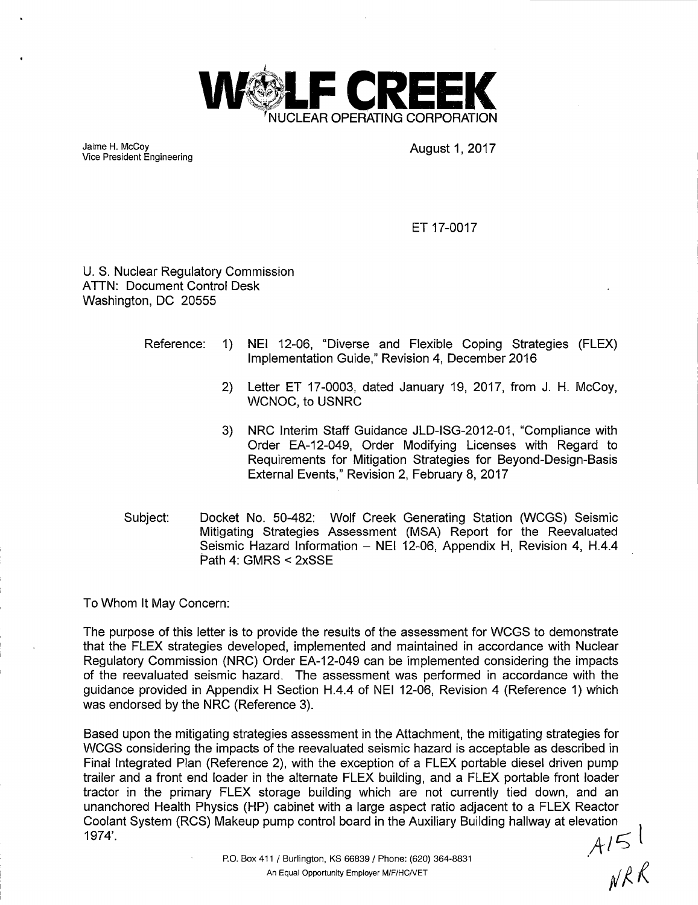

Jaime H. McCoy Vice President Engineering August 1, 2017<br>Vice President Engineering

ET 17-0017

U. S. Nuclear Regulatory Commission ATTN: Document Control Desk Washington, DC 20555

- Reference: 1) NEI 12-06, "Diverse and Flexible Coping Strategies (FLEX) Implementation Guide," Revision 4, December 2016
	- 2) Letter ET 17-0003, dated January 19, 2017, from J. H. McCoy, WCNOC, to USNRC
	- 3) NRG Interim Staff Guidance JLD-ISG-2012-01, "Compliance with Order EA-12-049, Order Modifying Licenses with Regard to Requirements for Mitigation Strategies for Beyond-Design-Basis External Events," Revision 2, February 8, 2017
- Subject: Docket No. 50-482: Wolf Creek Generating Station (WCGS) Seismic Mitigating Strategies Assessment (MSA) Report for the Reevaluated Seismic Hazard Information - NEI 12-06, Appendix H, Revision 4, H.4.4 Path 4: GMRS < 2xSSE

To Whom It May Concern:

The purpose of this letter is to provide the results of the assessment for WCGS to demonstrate that the FLEX strategies developed, implemented and maintained in accordance with Nuclear Regulatory Commission (NRG) Order EA-12-049 can be implemented considering the impacts of the reevaluated seismic hazard. The assessment was performed in accordance with the guidance provided in Appendix H Section H.4.4 of NEI 12-06, Revision 4 (Reference 1) which was endorsed by the NRG (Reference 3).

Based upon the mitigating strategies assessment in the Attachment, the mitigating strategies for WCGS considering the impacts of the reevaluated seismic hazard is acceptable as described in Final Integrated Plan (Reference 2), with the exception of a FLEX portable diesel driven pump trailer and a front end loader in the alternate FLEX building, and a FLEX portable front loader tractor in the primary FLEX storage building which are not currently tied down, and an unanchored Health Physics (HP) cabinet with a large aspect ratio adjacent to a FLEX Reactor unancnored Health Physics (HP) cabinet with a large aspect ratio adjacent to a FLEX Reactor<br>Coolant System (RCS) Makeup pump control board in the Auxiliary Building hallway at elevation <sub>lot</sub> 1914·\_ It I *c;;*   $\begin{array}{c} \begin{array}{c} \begin{array}{c} \end{array} \\ \begin{array}{c} \end{array} \\ \begin{array}{c} \end{array} \\ \begin{array}{c} \end{array} \\ \begin{array}{c} \end{array} \\ \begin{array}{c} \end{array} \\ \begin{array}{c} \end{array} \\ \begin{array}{c} \end{array} \\ \begin{array}{c} \end{array} \\ \begin{array}{c} \end{array} \\ \begin{array}{c} \end{array} \\ \begin{array}{c} \end{array} \\ \begin{array}{c} \end{array} \\ \begin{array}{c} \end{array} \\ \begin{array}{c} \end{array} \\ \begin{array}{c} \end{array$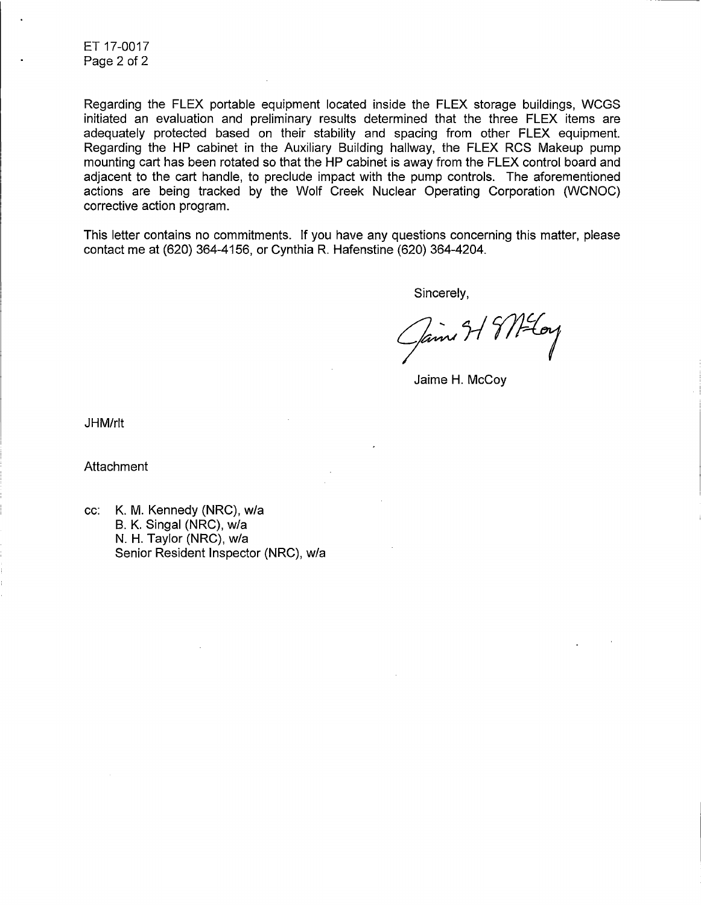ET 17-0017 Page 2 of 2

Regarding the FLEX portable equipment located inside the FLEX storage buildings, WCGS initiated an evaluation and preliminary results determined that the three FLEX items are adequately protected based on their stability and spacing from other FLEX equipment. Regarding the HP cabinet in the Auxiliary Building hallway, the FLEX RCS Makeup pump mounting cart has been rotated so that the HP cabinet is away from the FLEX control board and adjacent to the cart handle, to preclude impact with the pump controls. The aforementioned actions are being tracked by the Wolf Creek Nuclear Operating Corporation (WCNOC) corrective action program.

This letter contains no commitments. If you have any questions concerning this matter, please contact me at (620) 364-4156, or Cynthia R. Hafenstine (620) 364-4204.

Sincerely,

Jaime 31 9/12 Loy

Jaime H. McCoy

JHM/rlt

Attachment

cc: K. M. Kennedy (NRC), w/a 8. K. Singal (NRC), w/a N. H. Taylor (NRC), w/a Senior Resident Inspector (NRC), w/a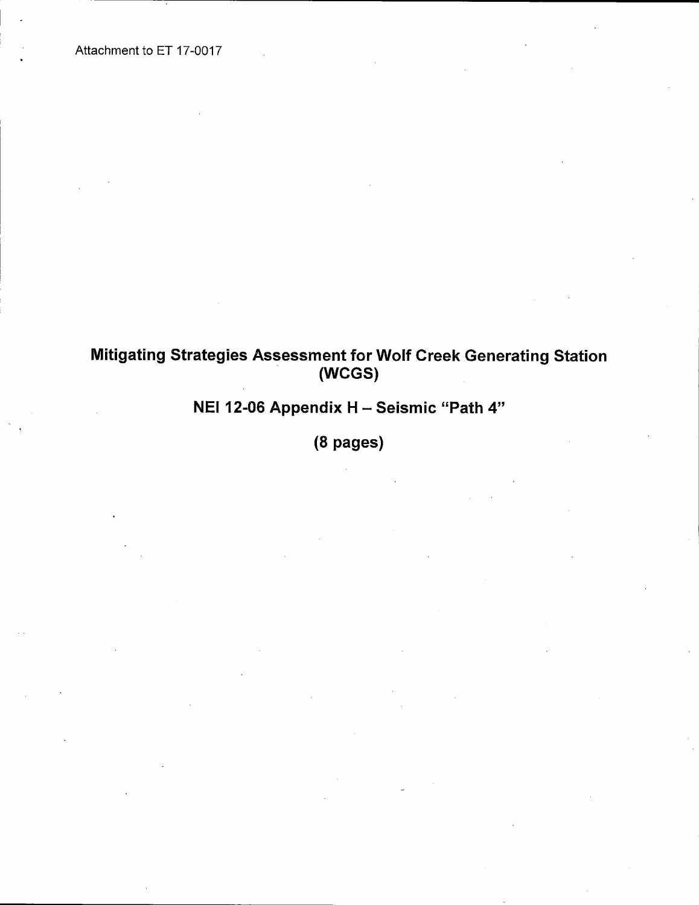Attachment to ET 17-0017

## Mitigating Strategies Assessment for Wolf Creek Generating Station (WCGS)

# NEI 12-06 Appendix H - Seismic "Path 4"

(8 pages)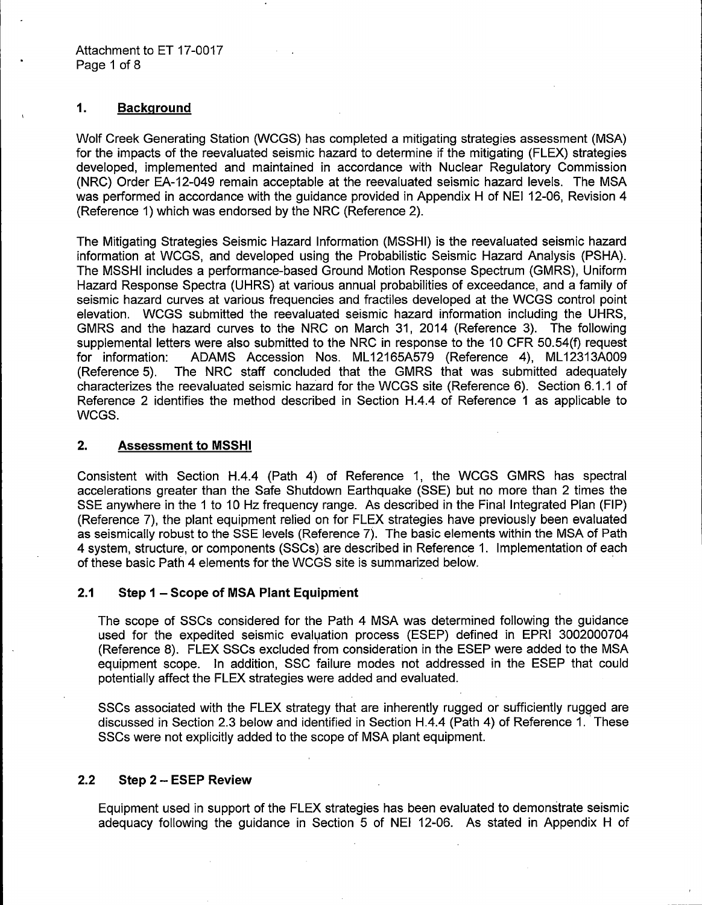## **1. Background**

Wolf Creek Generating Station (WCGS) has completed a mitigating strategies assessment (MSA) for the impacts of the reevaluated seismic hazard to determine if the mitigating (FLEX) strategies developed, implemented and maintained in accordance with Nuclear Regulatory Commission (NRC) Order EA-12-049 remain acceptable at the reevaluated seismic hazard levels. The MSA was performed in accordance with the guidance provided in Appendix H of NEI 12-06, Revision 4 (Reference 1) which was endorsed by the NRC (Reference 2).

The Mitigating Strategies Seismic Hazard Information (MSSHI) is the reevaluated seismic hazard information at WCGS, and developed using the Probabilistic Seismic Hazard Analysis (PSHA). The MSSHI includes a performance-based Ground Motion Response Spectrum (GMRS), Uniform Hazard Response Spectra (UHRS) at various annual probabilities of exceedance, and a family of seismic hazard curves at various frequencies and fractiles developed at the WCGS control point elevation. WCGS submitted the reevaluated seismic hazard information including the UHRS, GMRS and the hazard curves to the NRC on March 31, 2014 (Reference 3). The following supplemental letters were also submitted to the NRC in response to the 10 CFR 50.54(f) request for information: ADAMS Accession Nos. ML12165A579 (Reference 4), ML12313A009 (Reference 5). The NRC staff concluded that the GMRS that was submitted adequately characterizes the reevaluated seismic hazard for the WCGS site (Reference 6). Section 6.1.1 of Reference 2 identifies the method described in Section H.4.4 of Reference 1 as applicable to WCGS.

## **2. Assessment to MSSHI**

Consistent with Section H.4.4 (Path 4) of Reference 1, the WCGS GMRS has spectral accelerations greater than the Safe Shutdown Earthquake (SSE) but no more than 2 times the SSE anywhere in the 1 to 10 Hz frequency range. As described in the Final Integrated Plan (FIP) (Reference 7), the plant equipment relied on for FLEX strategies have previously been evaluated as seismically robust to the SSE levels (Reference 7). The basic elements within the MSA of Path 4 system, structure, or components (SSCs) are described in Reference 1. Implementation of each of these basic Path 4 elements for the WCGS site is summarized below. ·

## **2.1 Step 1 - Scope of MSA Plant Equipment**

The scope of SSCs considered for the Path 4 MSA was determined following the guidance used for the expedited seismic evalyation process (ESEP) defined in EPRI 3002000704 (Reference 8). FLEX SSCs excluded from consideration in the ESEP were added to the MSA equipment scope. In addition, SSC failure modes not addressed in the ESEP that could potentially affect the FLEX strategies were added and evaluated.

SSCs associated with the FLEX strategy that are inherently rugged or sufficiently rugged are discussed in Section 2.3 below and identified in Section H.4.4 (Path 4) of Reference 1. 'These SSCs were not explicitly added to the scope of MSA plant equipment.

## **2.2 Step 2 - ESEP Review**

Equipment used in support of the FLEX strategies has been evaluated to demonstrate seismic adequacy following the guidance in Section 5 of NEI 12-06. As stated in Appendix H of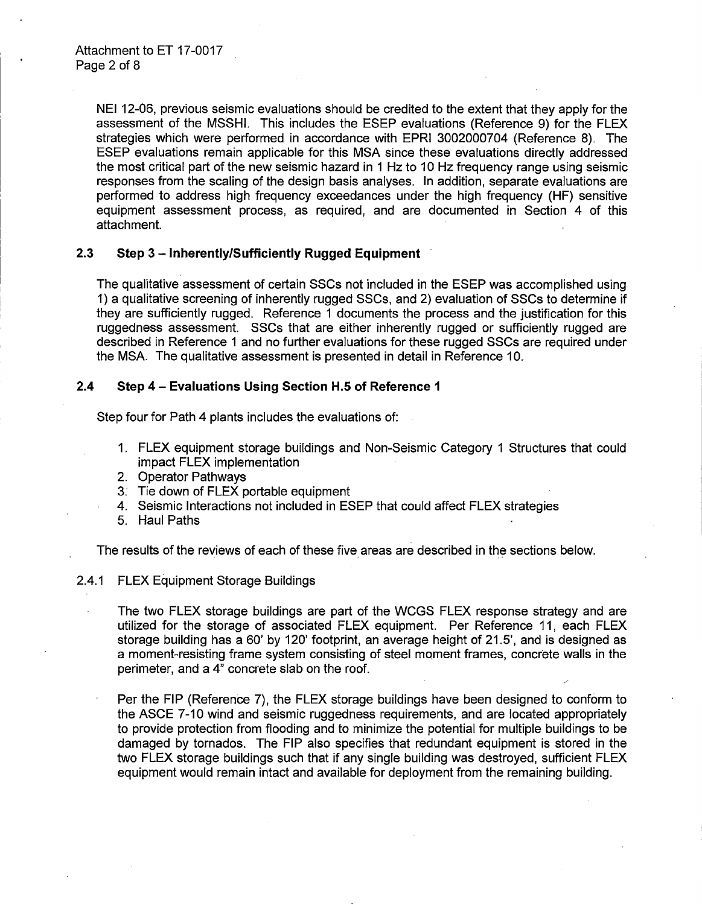NEI 12-06, previous seismic evaluations should be credited to the extent that they apply for the assessment of the MSSHI. This includes the ESEP evaluations (Reference 9) for the FLEX strategies which were performed in accordance with EPRI 3002000704 (Reference 8). The ESEP evaluations remain applicable for this MSA since these evaluations directly addressed the most critical part of the new seismic hazard in 1 Hz to 10 Hz frequency range using seismic responses from the scaling of the design basis analyses. In addition, separate evaluations are performed to address high frequency exceedances under the high frequency (HF) sensitive equipment assessment process, as required, and are documented in Section 4 of this attachment.

## 2.3 **Step 3 - Inherently/Sufficiently Rugged Equipment**

The qualitative assessment of certain SSCs not included in the ESEP was accomplished using 1) a qualitative screening of inherently rugged SSCs, and 2) evaluation of SSCs to determine if they are sufficiently rugged. Reference 1 documents the process and the justification for this ruggedness assessment. SSCs that are either inherently rugged or sufficiently rugged are described in Reference 1 and no further evaluations for these rugged SSCs are required under the MSA. The qualitative assessment is presented in detail in Reference 10.

## **2.4 Step 4 - Evaluations Using Section H.5 of Reference 1**

Step four for Path 4 plants includes the evaluations of:

- 1. FLEX equipment storage buildings and Non-Seismic Category 1 Structures that could impact FLEX implementation
- 2. Operator Pathways
- 3: Tie down of FLEX portable equipment
- 4. Seismic Interactions not included in ESEP that could affect FLEX strategies
- 5. Haul Paths

The results of the reviews of each of these five areas are described in the sections below.

#### 2.4.1 FLEX Equipment Storage Buildings

The two FLEX storage buildings are part of the WCGS FLEX response strategy and are utilized for the storage of associated FLEX equipment. Per Reference 11, each FLEX storage building has a 60' by 120' footprint, an average height of 21.5', and is designed as a moment-resisting frame system consisting of steel moment frames, concrete walls in the perimeter, and a 4" concrete slab on the roof.

Per the FIP (Reference 7), the FLEX storage buildings have been designed to conform to the ASCE 7-10 wind and seismic ruggedness requirements, and are located appropriately to provide protection from flooding and to minimize the potential for multiple buildings to be damaged by tornados. The FIP also specifies that redundant equipment is stored in the two FLEX storage buildings such that if any single building was destroyed, sufficient FLEX equipment would remain intact and available for deployment from the remaining building.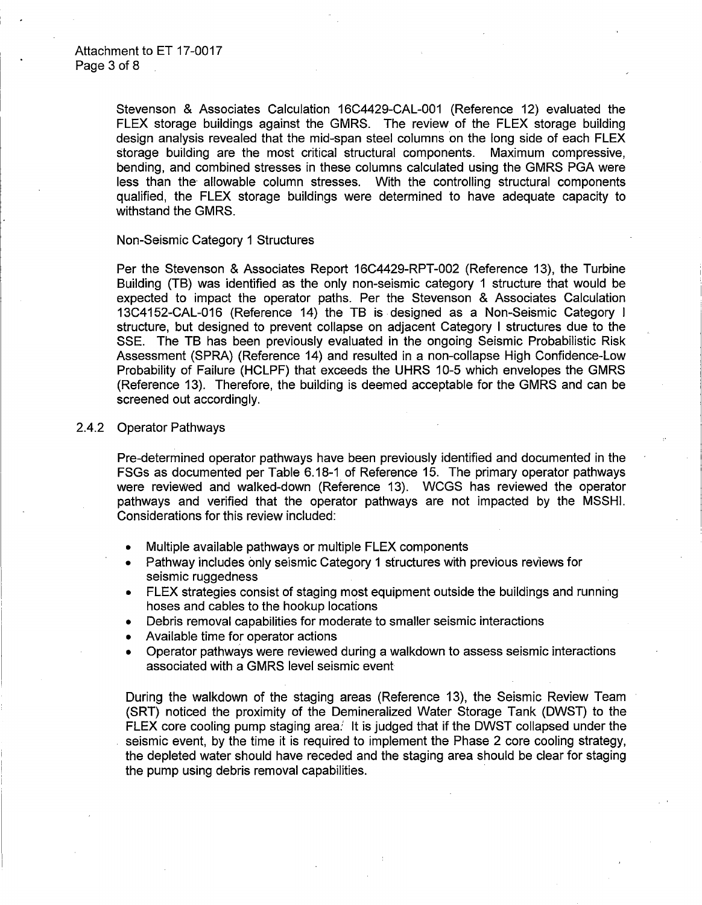Stevenson & Associates Calculation 16C4429-CAL-001 (Reference 12) evaluated the FLEX storage buildings against the GMRS. The review of the FLEX storage building design analysis revealed that the mid-span steel columns on the long side of each FLEX storage building are the most critical structural components. Maximum compressive, bending, and combined stresses in these columns calculated using the GMRS PGA were less than the allowable column stresses. With the controlling structural components qualified, the FLEX storage buildings were determined to have adequate capacity to withstand the GMRS.

#### Non-Seismic Category 1 Structures

Per the Stevenson & Associates Report 16C4429-RPT-002 (Reference 13), the Turbine Building {TB) was identified as the only non-seismic category 1 structure that would be expected to impact the operator paths. Per the Stevenson & Associates Calculation 13C4152-CAL-016 (Reference 14) the TB is designed as a Non-Seismic Category I structure, but designed to prevent collapse on adjacent Category I structures due to the SSE. The TB has been previously evaluated in the ongoing Seismic Probabilistic Risk Assessment (SPRA) (Reference 14) and resulted in a non-collapse High Confidence-Low Probability of Failure (HCLPF) that exceeds the UHRS 10-5 which envelopes the GMRS (Reference 13). Therefore, the building is deemed acceptable for the GMRS and can be screened out accordingly.

#### 2.4.2 Operator Pathways

Pre-determined operator pathways have been previously identified and documented in the FSGs as documented per Table 6.18-1 of Reference 15. The primary operator pathways were reviewed and walked-down (Reference 13). WCGS has reviewed the operator pathways and verified that the operator pathways are not impacted by the MSSHI. Considerations for this review included:

- Multiple available pathways or multiple FLEX components
- Pathway includes only seismic Category 1 structures with previous reviews for seismic ruggedness
- FLEX strategies consist of staging most equipment outside the buildings and running hoses and cables to the hookup locations
- Debris removal capabilities for moderate to smaller seismic interactions
- Available time for operator actions
- Operator pathways were reviewed during a walkdown to assess seismic interactions associated with a GMRS level seismic event

During the walkdown of the staging areas (Reference 13), the Seismic Review Team (SRT) noticed the proximity of the Demineralized Water Storage Tank (DWST) to the FLEX core cooling pump staging area. It is judged that if the DWST collapsed under the seismic event, by the time it is required to implement the Phase 2 core cooling strategy, the depleted water should have receded and the staging area should be clear for staging the pump using debris removal capabilities.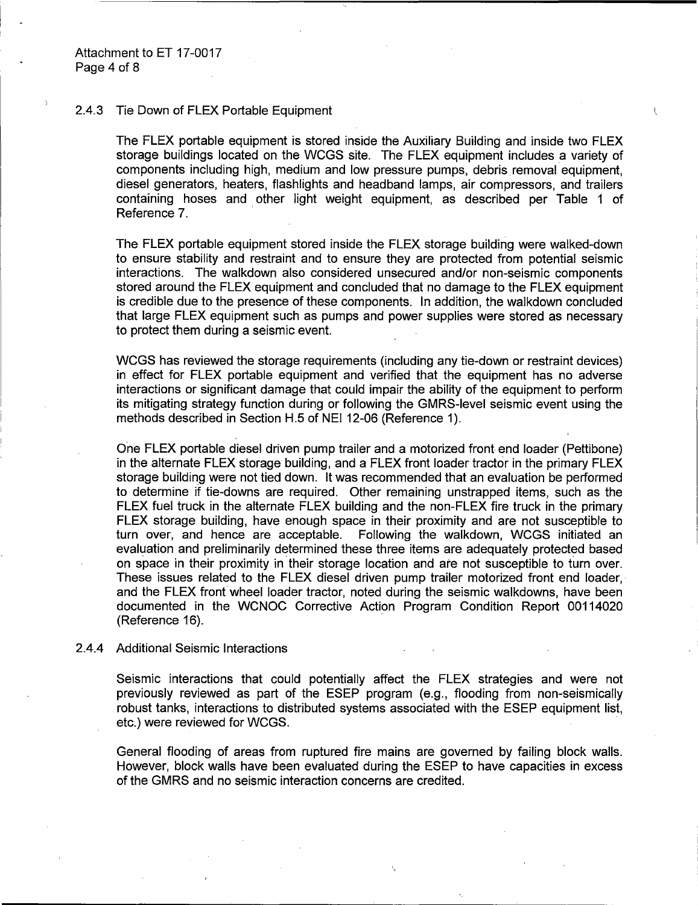#### 2.4.3 Tie Down of FLEX Portable Equipment

The FLEX portable equipment is stored inside the Auxiliary Building and inside two FLEX storage buildings located on the WCGS site. The FLEX equipment includes a variety of components including high, medium and low pressure pumps, debris removal· equipment, diesel generators, heaters, flashlights and headband lamps, air compressors, and trailers containing hoses and other light weight equipment, as described per Table 1 of Reference 7.

 $\overline{C}$ 

The FLEX portable equipment stored inside the FLEX storage building were walked-down to ensure stability and restraint and to ensure they are protected from potential seismic interactions. The walkdown also considered unsecured and/or non-seismic components stored around the FLEX equipment and concluded that no damage to the FLEX equipment is credible due to the presence of these components. In addition, the walkdown concluded that large FLEX equipment such as pumps and power supplies were stored as necessary to protect them during a seismic event.

WCGS has reviewed the storage requirements (including any tie-down or restraint devices) in effect for FLEX portable equipment and verified that the equipment has no adverse interactions or significant damage that could impair the ability of the equipment to perform its mitigating strategy function during or following the GMRS-level seismic event using the methods described in Section H.5 of NEI 12-06 (Reference 1).

One FLEX portable diesel driven pump trailer and a motorized front end loader (Pettibone) in the alternate FLEX storage building, and a FLEX front loader tractor in the primary FLEX storage building were not tied down. It was recommended that an evaluation be performed to determine if tie-downs are required. Other remaining unstrapped items, such as the FLEX fuel truck in the alternate FLEX building and the non-FLEX fire truck in the primary FLEX storage building, have enough space in their proximity and are not susceptible to turn over, and hence are acceptable. Following the walkdown, WCGS initiated an evaluation and preliminarily determined these three items are adequately protected based on space in their proximity in· their storage location and *ate* not susceptible to turn over. These issues related to the FLEX diesel driven pump trailer motorized front end loader,· and the FLEX front wheel loader tractor, noted during the seismic walkdowns, have been documented in the WCNOC Corrective Action Program Condition Report 00114020 (Reference 16).

#### 2.4.4 Additional Seismic Interactions

Seismic interactions that could potentially affect the FLEX strategies and were not previously reviewed as part of the ESEP program (e.g., flooding from non-seismically robust tanks, interactions to distributed systems associated with the ESEP equipment list, etc.) were reviewed for WCGS.

General flooding of areas from ruptured fire mains are governed by failing block walls. However, block walls have been evaluated during the ESEP to have capacities in excess of the GMRS and no seismic interaction concerns are credited.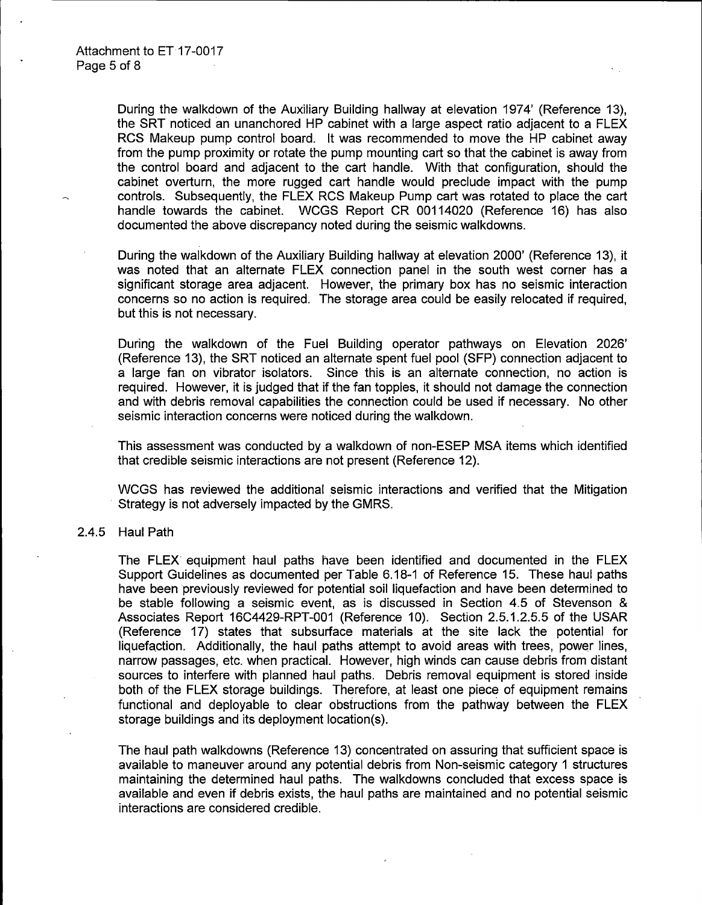During the walkdown of the Auxiliary Building hallway at elevation 1974' (Reference 13), the SRT noticed an unanchored HP cabinet with a large aspect ratio adjacent to a FLEX RCS Makeup pump control board. It was recommended to move the HP cabinet away from the pump proximity or rotate the pump mounting cart so that the cabinet is away from the control board and adjacent to the cart handle. With that configuration, should the cabinet overturn, the more rugged cart handle would preclude impact with the pump controls. Subsequently, the FLEX RCS Makeup Pump cart was rotated to place the cart handle towards the cabinet. WCGS Report CR 00114020 (Reference 16) has also documented the above discrepancy noted during the seismic walkdowns.

During the walkdown of the Auxiliary Building hallway at elevation 2000' (Reference 13), it was noted that an alternate FLEX connection panel in the south west corner has a significant storage area adjacent. However, the primary box has no seismic interaction concerns so no action is required. The storage area could be easily relocated if required, but this is not necessary.

During the walkdown of the Fuel Building operator pathways on Elevation 2026' (Reference 13), the SRT noticed an alternate spent fuel pool (SFP) connection adjacent to a large fan on vibrator isolators. Since this is an alternate connection, no action is required. However, it is judged that if the fan topples, it should not damage the connection and with debris removal capabilities the connection could be used if necessary. No other seismic interaction concerns were noticed during the walkdown.

This assessment was conducted by a walkdown of non-ESEP MSA items which identified that credible seismic interactions are not present (Reference 12).

WCGS has reviewed the additional seismic interactions and verified that the Mitigation Strategy is not adversely impacted by the GMRS.

## 2.4.5 Haul Path

The FLEX equipment haul paths have been identified and documented in the FLEX Support Guidelines as documented per Table 6.18-1 of Reference 15. These haul paths have been previously reviewed for potential soil liquefaction and have been determined to be stable following a seismic event, as is discussed in Section 4.5 of Stevenson & Associates Report 16C4429-RPT-001 (Reference 10). Section 2.5.1.2.5.5 of the USAR (Reference 17) states that subsurface materials at the site lack the potential for liquefaction. Additionally, the haul paths attempt to avoid areas with trees, power lines, narrow passages, etc. when practical. However, high winds can cause debris from distant sources to interfere with planned haul paths. Debris removal equipment is stored inside both of the FLEX storage buildings. Therefore, at least one piece of equipment remains functional and deployable to clear obstructions from the pathway between the FLEX storage buildings and its deployment location(s).

The haul path walkdowns (Reference 13) concentrated on assuring that sufficient space is available to maneuver around any potential debris from Non-seismic category 1 structures maintaining the determined haul paths. The walkdowns concluded that excess space is available and even if debris exists, the haul paths are maintained and no potential seismic interactions are considered credible.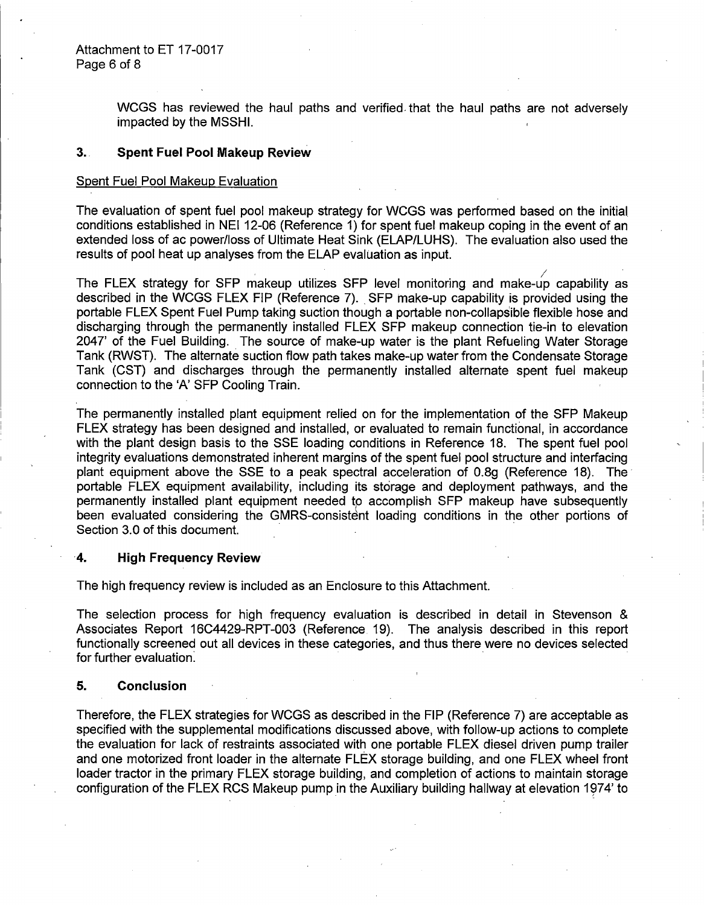WCGS has reviewed the haul paths and verified. that the haul paths are not adversely impacted by the MSSHI.

### 3.. **Spent Fuel Pool Makeup Review**

#### Spent Fuel Pool Makeup Evaluation

The evaluation of spent fuel pool makeup strategy for WCGS was performed based on the initial. conditions established in NEI 12-06 (Reference 1) for spent fuel makeup coping in the event of an extended loss of ac power/loss of Ultimate Heat Sink (ELAP/LUHS). The evaluation also used the results of pool heat up analyses from the ELAP evaluation as input.

The FLEX strategy for SFP makeup utilizes SFP level monitoring and make-up capability as described in the WCGS FLEX FIP (Reference 7). SFP make-up capability is provided using the portable FLEX Spent Fuel Pump taking suction though a portable non-collapsible flexible hose and discharging through the permanently installed FLEX SFP makeup connection tie-in to elevation 2047' of the Fuel Building. The source of make-up water is the plant Refueling Water Storage Tank (RWST). The alternate suction flow path takes make-up water from the Condensate Storage Tank (CST) and discharges through the permanently installed alternate spent fuel makeup connection to the 'A' SFP Cooling Train.

The permanently installed plant equipment relied on for the implementation of the SFP Makeup FLEX strategy has been designed and installed, or evaluated to remain functional, in accordance with the plant design basis to the SSE loading conditions in Reference 18. The spent fuel pool integrity evaluations demonstrated inherent margins of the spent fuel pool structure and interfacing plant equipment above the SSE to a peak spectral acceleration of 0.8g (Reference 18). The portable FLEX equipment availability, including its storage and deployment pathways, and the permanently installed plant equipment needed to accomplish SFP makeup have subsequently been evaluated considering the GMRS-consistent loading conditions in the other portions of Section 3.0 of this document.

#### **·4. High Frequency Review**

The high frequency review is included as an Enclosure to this Attachment.

The selection process for high frequency evaluation is described in detail in Stevenson & Associates Report 16C4429-RPT-003 (Reference 19). The analysis described in this report functionally screened out all devices in these categories, and thus there were no devices selected for further evaluation.

## **5. Conclusion**

Therefore, the FLEX strategies for WCGS as described in the FIP (Reference 7) are acceptable as specified with the supplemental modifications discussed above, with follow-up actions to complete the evaluation for lack of restraints associated with one portable FLEX diesel driven pump trailer and one motorized front loader in the alternate FLEX storage building, and one FLEX wheel front loader tractor in the primary FLEX storage building, and completion of actions to maintain storage configuration of the FLEX RCS Makeup pump in the Auxiliary building hallway at elevation 1974' to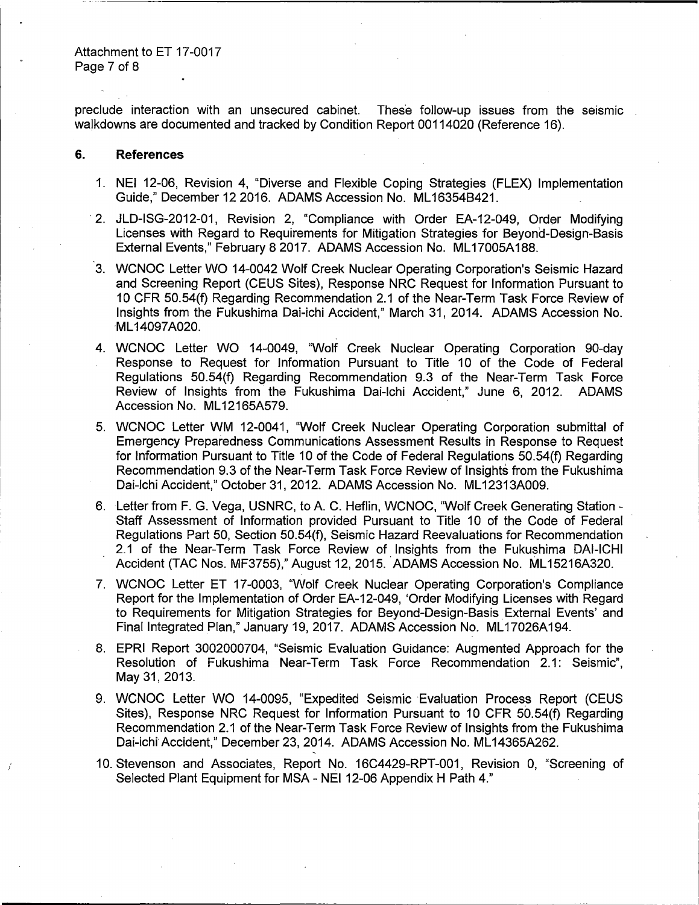preclude interaction with an unsecured cabinet. These follow-up issues from the seismic walkdowns are documented and tracked by Condition Report 00114020 (Reference 16).

#### **6. References**

- 1. NEI 12-06, Revision 4, "Diverse and Flexible Coping Strategies (FLEX) Implementation Guide," December 12 2016. ADAMS Accession No. ML 16354B421.
- · 2. JLD-ISG-2012-01, Revision 2, "Compliance with Order EA-12-049, Order Modifying Licenses with Regard to Requirements for Mitigation Strategies for Beyond-Design-Basis External Events," February 8 2017. ADAMS Accession No. ML17005A188.
- 3. WCNOC Letter WO 14-0042 Wolf Creek Nuclear Operating Corporation's Seismic Hazard and Screening Report (CEUS Sites), Response NRC Request for Information Pursuant to 10 CFR 50.54(f) Regarding Recommendation 2.1 of the Near-Term Task Force Review of Insights from the Fukushima Dai-ichi Accident," March 31, 2014. ADAMS Accession No. ML 14097A020.
- 4. WCNOC Letter WO 14-0049, "Wolf Creek Nuclear Operating Corporation 90-day Response to Request for Information Pursuant to Title 10 of the Code of Federal Regulations 50.54(f) Regarding Recommendation 9.3 of the Near-Term Task Force Review of Insights from the Fukushima Dai-lchi Accident," June 6, 2012. ADAMS Accession No. ML12165A579.
- 5. WCNOC Letter WM 12-0041, "Wolf Creek Nuclear Operating Corporation submittal of Emergency Preparedness Communications Assessment Results in Response to Request for Information Pursuant to Title 10 of the Code of Federal Regulations 50.54(f) Regarding Recommendation 9.3 of the Near-Term Task Force Review of Insights from the Fukushima Dai-Ichi Accident," October 31, 2012. ADAMS Accession No. ML12313A009.
- 6. Letter from F. G. Vega, USNRC, to A. C. Heflin, WCNOC, "Wolf Creek Generating Station Staff Assessment of Information provided Pursuant to Title 10 of the Code of Federal Regulations Part 50, Section 50.54(f), Seismic Hazard Reevaluations for Recommendation 2.1 of the Near-Term Task Force Review of Insights from the Fukushima DAl-ICHI Accident (TAC Nos. MF3755)," August 12, 2015. ADAMS Accession No. ML15216A320.
- 7. WCNOC Letter ET 17-0003, "Wolf Creek Nuclear Operating Corporation's Compliance Report for the Implementation of Order EA-12-049, 'Order Modifying Licenses with Regard to Requirements for Mitigation Strategies for Beyond-Design-Basis. External Events' and Final Integrated Plan," January 19, 2017. ADAMS Accession No. ML17026A194.
- 8. EPRI Report 3002000704, "Seismic Evaluation Guidance: Augmented Approach for the Resolution of Fukushima Near-Term Task Force Recommendation 2.1: Seismic", May 31, 2013.
- 9. WCNOC Letter WO 14-0095, "Expedited Seismic Evaluation Process Report (CEUS Sites), Response NRC Request for Information Pursuant to 10 CFR 50.54(f) Regarding Recommendation 2.1 of the Near-Term Task Force Review of Insights from the Fukushima Dai-ichi Accident," December 23, 2014. ADAMS Accession No. ML14365A262.
- 10. Stevenson and Associates, Report No. 16C4429-RPT-001, Revision 0, "Screening of Selected Plant Equipment for MSA - NEI 12-06 Appendix H Path 4."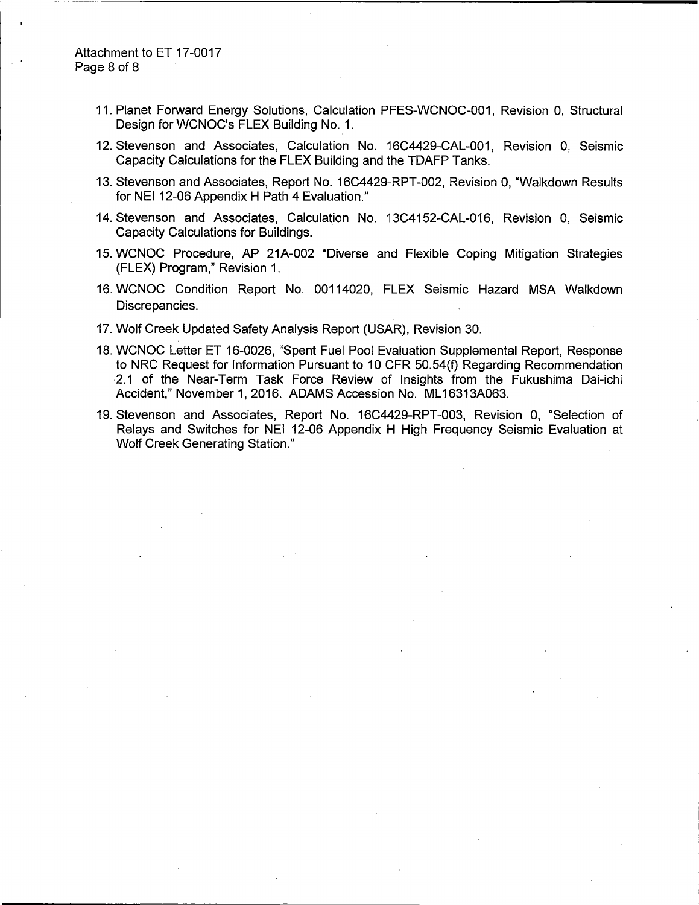## Attachment to ET 17-0017 Page 8 of 8

- 11. Planet Forward Energy Solutions, Calculation PFES-WCNOC-001, Revision 0, Structural Design for WCNOC's FLEX Building No. 1.
- 12. Stevenson and Associates, Calculation No. 16C4429-CAL-001, Revision 0, Seismic Capacity Calculations for the FLEX Building and the TDAFP Tanks.
- 13. Stevenson and Associates, Report No. 16C4429-RPT-002, Revision 0, "Walkdown Results for NEI 12-06 Appendix H Path 4 Evaluation."
- 14. Stevenson and Associates, Calculation No. 13C4152-CAL-016, Revision 0, Seismic Capacity Calculations for Buildings.
- 15. WCNOC Procedure, AP 21A-002 "Diverse and Flexible Coping Mitigation Strategies (FLEX) Program," Revision 1.
- 16. WCNOC Condition Report No. 00114020, FLEX Seismic Hazard MSA Walkdown Discrepancies.
- 17. Wolf Creek Updated Safety Analysis Report (USAR), Revision 30.
- 18. WCNOC Letter ET 16-0026, "Spent Fuel Pool Evaluation Supplemental Report, Response to NRC Request for Information Pursuant to 10 CFR 50.54(f) Regarding Recommendation 2.1 of the Near-Term Task Force Review of Insights from the Fukushima Dai-ichi Accident," November 1, 2016. ADAMS Accession No. ML16313A063.
- 19. Stevenson and Associates, Report No. 16C4429-RPT-003, Revision 0, "Selection of Relays and Switches for NEI 12-06 Appendix H High Frequency Seismic Evaluation at Wolf Creek Generating Station."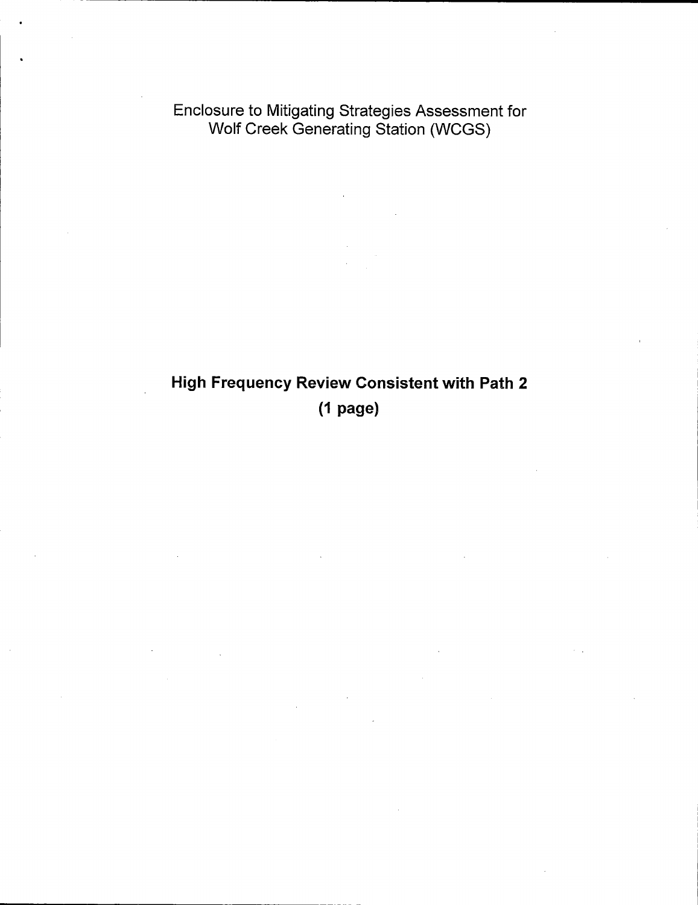Enclosure to Mitigating Strategies Assessment for Wolf Creek Generating Station (WCGS)

# High Frequency Review Consistent with Path 2 (1 page)